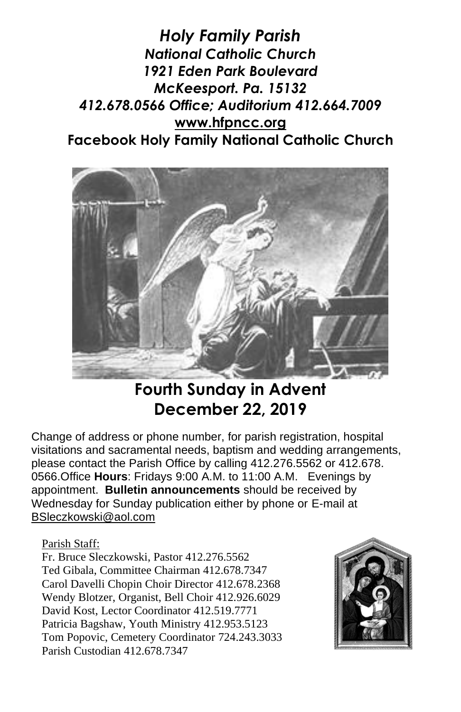*Holy Family Parish National Catholic Church 1921 Eden Park Boulevard McKeesport. Pa. 15132 412.678.0566 Office; Auditorium 412.664.7009* **[www.hfpncc.org](http://www.hfpncc.org/) Facebook Holy Family National Catholic Church**



# **Fourth Sunday in Advent December 22, 2019**

Change of address or phone number, for parish registration, hospital visitations and sacramental needs, baptism and wedding arrangements, please contact the Parish Office by calling 412.276.5562 or 412.678. 0566.Office **Hours**: Fridays 9:00 A.M. to 11:00 A.M. Evenings by appointment. **Bulletin announcements** should be received by Wednesday for Sunday publication either by phone or E-mail at [BSleczkowski@aol.com](mailto:BSleczkowski@aol.com)

Parish Staff:

Fr. Bruce Sleczkowski, Pastor 412.276.5562 Ted Gibala, Committee Chairman 412.678.7347 Carol Davelli Chopin Choir Director 412.678.2368 Wendy Blotzer, Organist, Bell Choir 412.926.6029 David Kost, Lector Coordinator 412.519.7771 Patricia Bagshaw, Youth Ministry 412.953.5123 Tom Popovic, Cemetery Coordinator 724.243.3033 Parish Custodian 412.678.7347

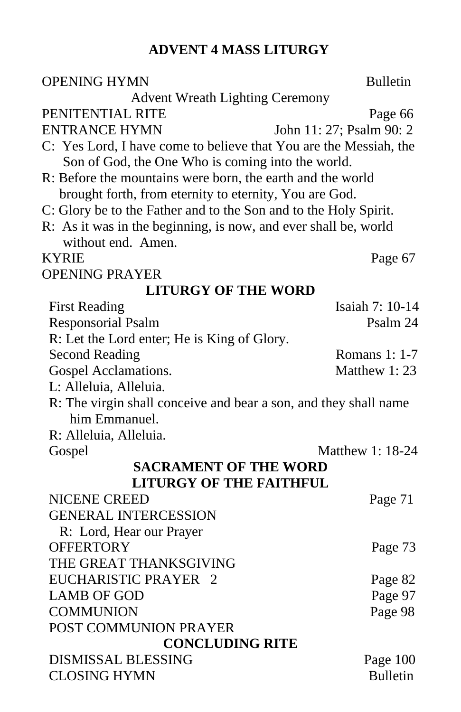# **ADVENT 4 MASS LITURGY**

| <b>OPENING HYMN</b>                                               | <b>Bulletin</b>          |  |  |
|-------------------------------------------------------------------|--------------------------|--|--|
| <b>Advent Wreath Lighting Ceremony</b>                            |                          |  |  |
| PENITENTIAL RITE                                                  | Page 66                  |  |  |
| <b>ENTRANCE HYMN</b>                                              | John 11: 27; Psalm 90: 2 |  |  |
| C: Yes Lord, I have come to believe that You are the Messiah, the |                          |  |  |
| Son of God, the One Who is coming into the world.                 |                          |  |  |
| R: Before the mountains were born, the earth and the world        |                          |  |  |
| brought forth, from eternity to eternity, You are God.            |                          |  |  |
| C: Glory be to the Father and to the Son and to the Holy Spirit.  |                          |  |  |
| R: As it was in the beginning, is now, and ever shall be, world   |                          |  |  |
| without end. Amen.                                                |                          |  |  |
| KYRIE                                                             | Page 67                  |  |  |
| <b>OPENING PRAYER</b>                                             |                          |  |  |
| <b>LITURGY OF THE WORD</b>                                        |                          |  |  |
| <b>First Reading</b>                                              | Isaiah 7: 10-14          |  |  |
| <b>Responsorial Psalm</b>                                         | Psalm 24                 |  |  |
| R: Let the Lord enter; He is King of Glory.                       |                          |  |  |
| <b>Second Reading</b>                                             | <b>Romans 1: 1-7</b>     |  |  |
| Gospel Acclamations.                                              | Matthew 1:23             |  |  |
| L: Alleluia, Alleluia.                                            |                          |  |  |
| R: The virgin shall conceive and bear a son, and they shall name  |                          |  |  |
| him Emmanuel.                                                     |                          |  |  |
| R: Alleluia, Alleluia.                                            |                          |  |  |
| Gospel                                                            | Matthew 1: 18-24         |  |  |
| <b>SACRAMENT OF THE WORD</b>                                      |                          |  |  |
| <b>LITURGY OF THE FAITHFUL</b>                                    |                          |  |  |
| <b>NICENE CREED</b>                                               | Page 71                  |  |  |
| <b>GENERAL INTERCESSION</b>                                       |                          |  |  |
| R: Lord, Hear our Prayer                                          |                          |  |  |
| <b>OFFERTORY</b>                                                  | Page 73                  |  |  |
| THE GREAT THANKSGIVING                                            |                          |  |  |
| EUCHARISTIC PRAYER 2                                              | Page 82                  |  |  |
| <b>LAMB OF GOD</b>                                                | Page 97                  |  |  |
| <b>COMMUNION</b>                                                  | Page 98                  |  |  |
| POST COMMUNION PRAYER                                             |                          |  |  |
| <b>CONCLUDING RITE</b>                                            |                          |  |  |
| <b>DISMISSAL BLESSING</b>                                         | Page 100                 |  |  |
| <b>CLOSING HYMN</b>                                               | <b>Bulletin</b>          |  |  |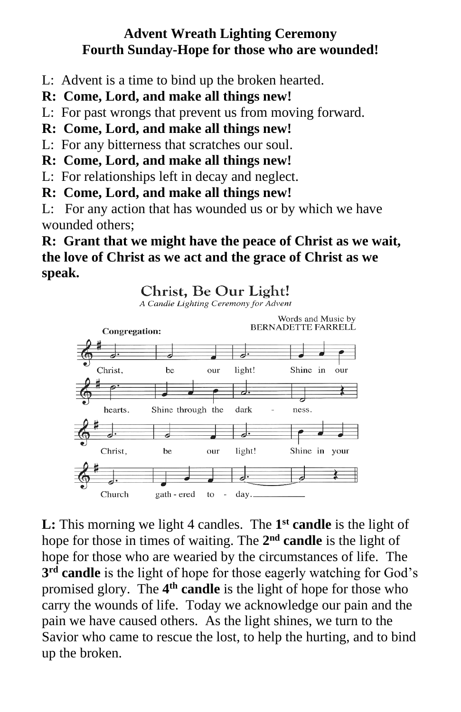### **Advent Wreath Lighting Ceremony Fourth Sunday-Hope for those who are wounded!**

- L: Advent is a time to bind up the broken hearted.
- **R: Come, Lord, and make all things new!**
- L: For past wrongs that prevent us from moving forward.
- **R: Come, Lord, and make all things new!**

L: For any bitterness that scratches our soul.

**R: Come, Lord, and make all things new!**

L: For relationships left in decay and neglect.

### **R: Come, Lord, and make all things new!**

L: For any action that has wounded us or by which we have wounded others;

## **R: Grant that we might have the peace of Christ as we wait, the love of Christ as we act and the grace of Christ as we speak.**

## Christ. Be Our Light!

A Candle Lighting Ceremony for Advent



**L:** This morning we light 4 candles. The 1<sup>st</sup> candle is the light of hope for those in times of waiting. The 2<sup>nd</sup> candle is the light of hope for those who are wearied by the circumstances of life. The **3 rd candle** is the light of hope for those eagerly watching for God's promised glory. The **4 th candle** is the light of hope for those who carry the wounds of life. Today we acknowledge our pain and the pain we have caused others. As the light shines, we turn to the Savior who came to rescue the lost, to help the hurting, and to bind up the broken.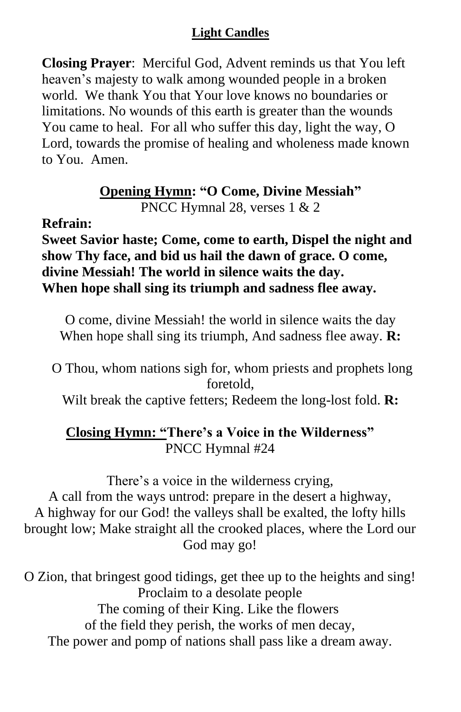**Closing Prayer**: Merciful God, Advent reminds us that You left heaven's majesty to walk among wounded people in a broken world. We thank You that Your love knows no boundaries or limitations. No wounds of this earth is greater than the wounds You came to heal. For all who suffer this day, light the way, O Lord, towards the promise of healing and wholeness made known to You. Amen.

### **Opening Hymn: "O Come, Divine Messiah"** PNCC Hymnal 28, verses 1 & 2

### **Refrain:**

**Sweet Savior haste; Come, come to earth, Dispel the night and show Thy face, and bid us hail the dawn of grace. O come, divine Messiah! The world in silence waits the day. When hope shall sing its triumph and sadness flee away.**

O come, divine Messiah! the world in silence waits the day When hope shall sing its triumph, And sadness flee away. **R:**

O Thou, whom nations sigh for, whom priests and prophets long foretold,

Wilt break the captive fetters; Redeem the long-lost fold. **R:**

## **Closing Hymn: "There's a Voice in the Wilderness"** PNCC Hymnal #24

There's a voice in the wilderness crying, A call from the ways untrod: prepare in the desert a highway, A highway for our God! the valleys shall be exalted, the lofty hills brought low; Make straight all the crooked places, where the Lord our God may go!

O Zion, that bringest good tidings, get thee up to the heights and sing! Proclaim to a desolate people The coming of their King. Like the flowers of the field they perish, the works of men decay, The power and pomp of nations shall pass like a dream away.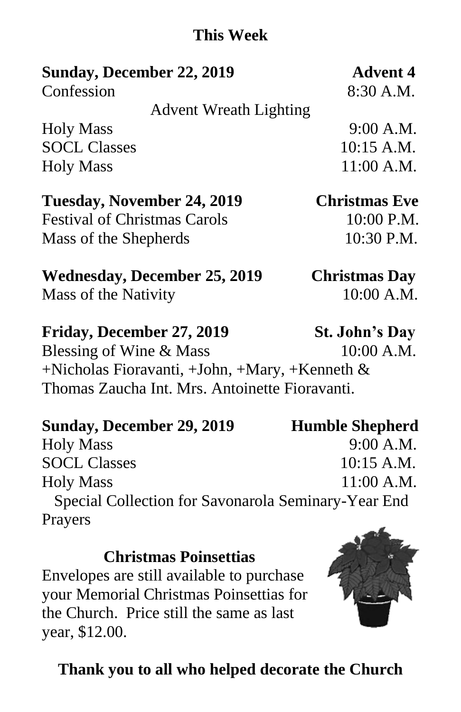# **This Week**

# **Sunday, December 22, 2019 Advent 4**

Confession 8:30 A.M.

Advent Wreath Lighting

Holy Mass 9:00 A.M. SOCL Classes 10:15 A.M. Holy Mass 11:00 A.M.

**Tuesday, November 24, 2019 Christmas Eve**

Festival of Christmas Carols 10:00 P.M. Mass of the Shepherds 10:30 P.M.

# **Wednesday, December 25, 2019 Christmas Day** Mass of the Nativity 10:00 A.M.

**Friday, December 27, 2019 St. John's Day** 

Blessing of Wine & Mass 10:00 A.M. +Nicholas Fioravanti, +John, +Mary, +Kenneth & Thomas Zaucha Int. Mrs. Antoinette Fioravanti.

# Sunday, December 29, 2019 **Humble Shepherd**

Holy Mass 9:00 A.M. SOCL Classes 10:15 A.M. Holy Mass 11:00 A.M. Special Collection for Savonarola Seminary-Year End Prayers

# **Christmas Poinsettias**

Envelopes are still available to purchase your Memorial Christmas Poinsettias for the Church. Price still the same as last year, \$12.00.

# **Thank you to all who helped decorate the Church**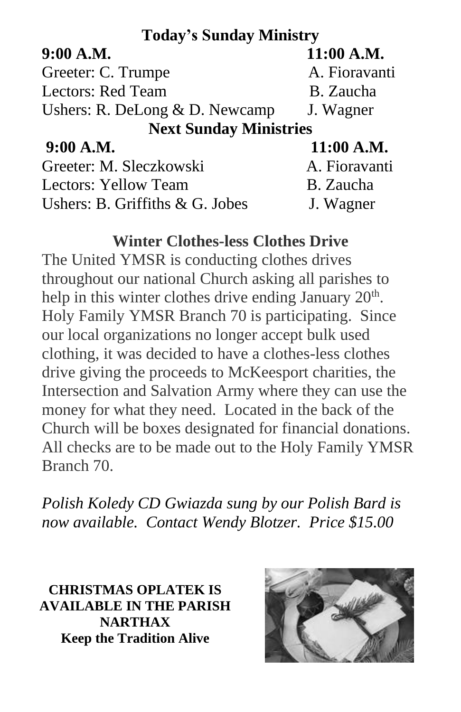# **Today's Sunday Ministry**

| 9:00 A.M.                        | 11:00 A.M.    |
|----------------------------------|---------------|
| Greeter: C. Trumpe               | A. Fioravanti |
| <b>Lectors: Red Team</b>         | B. Zaucha     |
| Ushers: R. DeLong $& D.$ Newcamp | J. Wagner     |
| <b>Next Sunday Ministries</b>    |               |
| 9:00 A.M.                        | 11:00 A.M.    |
| Greeter: M. Sleczkowski          | A. Fioravanti |
| Lectors: Yellow Team             | B. Zaucha     |
| Ushers: B. Griffiths & G. Jobes  | J. Wagner     |

## **Winter Clothes-less Clothes Drive**

The United YMSR is conducting clothes drives throughout our national Church asking all parishes to help in this winter clothes drive ending January  $20<sup>th</sup>$ . Holy Family YMSR Branch 70 is participating. Since our local organizations no longer accept bulk used clothing, it was decided to have a clothes-less clothes drive giving the proceeds to McKeesport charities, the Intersection and Salvation Army where they can use the money for what they need. Located in the back of the Church will be boxes designated for financial donations. All checks are to be made out to the Holy Family YMSR Branch 70.

*Polish Koledy CD Gwiazda sung by our Polish Bard is now available. Contact Wendy Blotzer. Price \$15.00*

**CHRISTMAS OPLATEK IS AVAILABLE IN THE PARISH NARTHAX Keep the Tradition Alive**

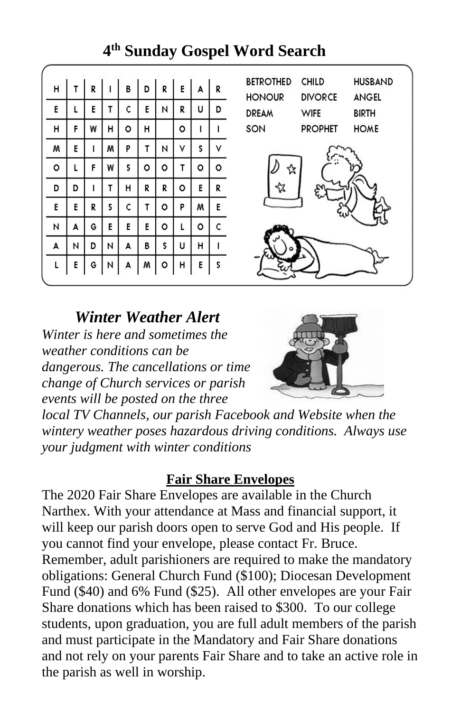| Н  | т | R | L | B  | D | R | E | A | R  |
|----|---|---|---|----|---|---|---|---|----|
| E  | L | E | т | c  | E | N | R | U | D  |
| н  | F | W | н | ٥  | н |   | ٥ | I |    |
| M  | E | ı | Μ | P  | T | N | ٧ | 5 | ٧  |
| ٥  | L | F | W | \$ | ٥ | ۰ | T | ٥ | ٥  |
| D  | D | I | т | н  | R | R | ٥ | E | R  |
| E  | E | R | 5 | ¢  | τ | ٥ | P | w | E  |
| N  | A | G | E | E  | E | ٥ | L | ٥ | c  |
| A  | N | D | N | А  | В | S | U | н | 1  |
| L, | E | G | N | A  | M | o | н | E | \$ |

# **4 th Sunday Gospel Word Search**



*Winter Weather Alert Winter is here and sometimes the weather conditions can be dangerous. The cancellations or time change of Church services or parish events will be posted on the three* 



*local TV Channels, our parish Facebook and Website when the wintery weather poses hazardous driving conditions. Always use your judgment with winter conditions*

## **Fair Share Envelopes**

The 2020 Fair Share Envelopes are available in the Church Narthex. With your attendance at Mass and financial support, it will keep our parish doors open to serve God and His people. If you cannot find your envelope, please contact Fr. Bruce. Remember, adult parishioners are required to make the mandatory obligations: General Church Fund (\$100); Diocesan Development Fund (\$40) and 6% Fund (\$25). All other envelopes are your Fair Share donations which has been raised to \$300. To our college students, upon graduation, you are full adult members of the parish and must participate in the Mandatory and Fair Share donations and not rely on your parents Fair Share and to take an active role in the parish as well in worship.